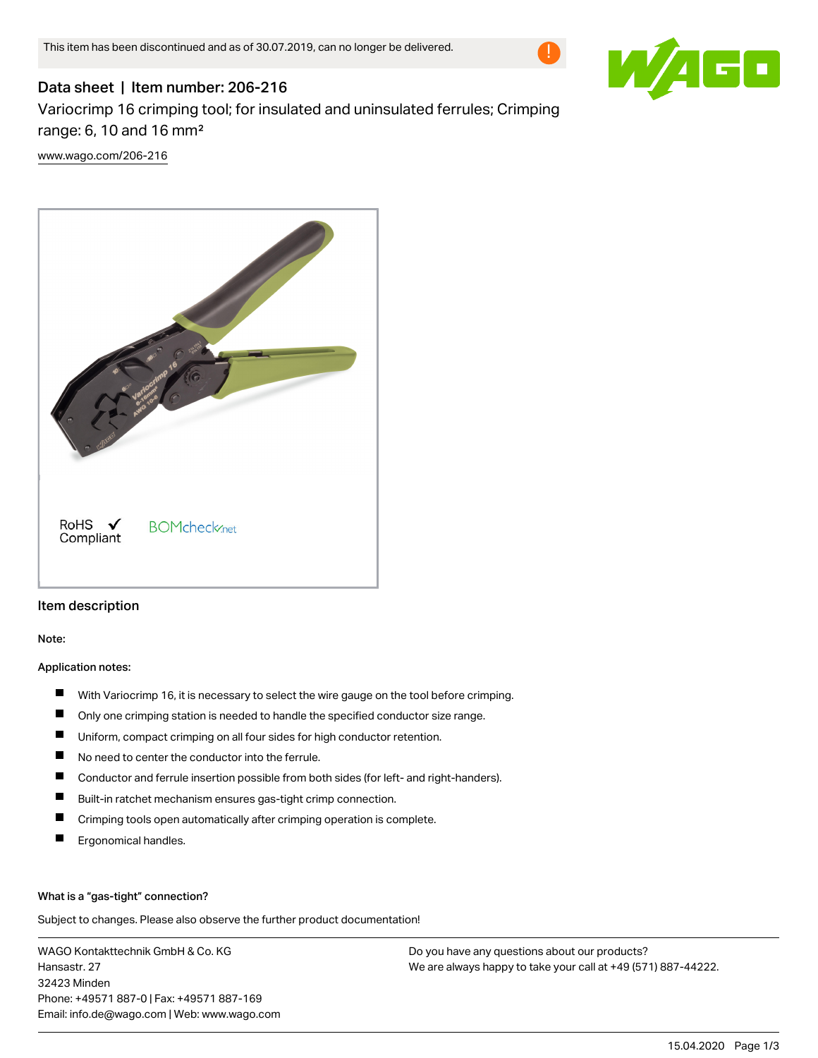

# Data sheet | Item number: 206-216 Variocrimp 16 crimping tool; for insulated and uninsulated ferrules; Crimping range: 6, 10 and 16 mm²

[www.wago.com/206-216](http://www.wago.com/206-216)



# Item description

Note:

### Application notes:

- $\blacksquare$ With Variocrimp 16, it is necessary to select the wire gauge on the tool before crimping.
- $\blacksquare$ Only one crimping station is needed to handle the specified conductor size range.
- П Uniform, compact crimping on all four sides for high conductor retention.
- $\blacksquare$ No need to center the conductor into the ferrule.
- $\blacksquare$ Conductor and ferrule insertion possible from both sides (for left- and right-handers).
- П Built-in ratchet mechanism ensures gas-tight crimp connection.
- $\blacksquare$ Crimping tools open automatically after crimping operation is complete.
- П Ergonomical handles.

#### What is a "gas-tight" connection?

Subject to changes. Please also observe the further product documentation!

WAGO Kontakttechnik GmbH & Co. KG Hansastr. 27 32423 Minden Phone: +49571 887-0 | Fax: +49571 887-169 Email: info.de@wago.com | Web: www.wago.com

Do you have any questions about our products? We are always happy to take your call at +49 (571) 887-44222.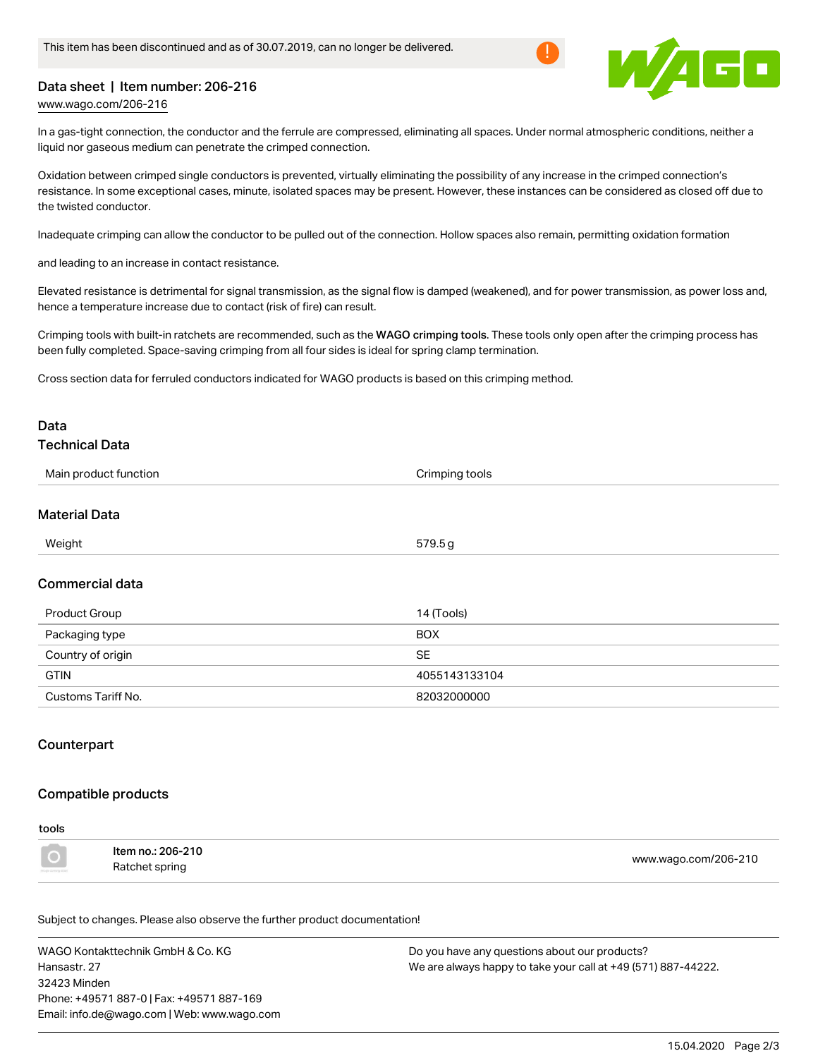

# Data sheet | Item number: 206-216

[www.wago.com/206-216](http://www.wago.com/206-216)

In a gas-tight connection, the conductor and the ferrule are compressed, eliminating all spaces. Under normal atmospheric conditions, neither a liquid nor gaseous medium can penetrate the crimped connection.

Oxidation between crimped single conductors is prevented, virtually eliminating the possibility of any increase in the crimped connection's resistance. In some exceptional cases, minute, isolated spaces may be present. However, these instances can be considered as closed off due to the twisted conductor.

Inadequate crimping can allow the conductor to be pulled out of the connection. Hollow spaces also remain, permitting oxidation formation

and leading to an increase in contact resistance.

Elevated resistance is detrimental for signal transmission, as the signal flow is damped (weakened), and for power transmission, as power loss and, hence a temperature increase due to contact (risk of fire) can result.

Crimping tools with built-in ratchets are recommended, such as the WAGO crimping tools. These tools only open after the crimping process has been fully completed. Space-saving crimping from all four sides is ideal for spring clamp termination.

Cross section data for ferruled conductors indicated for WAGO products is based on this crimping method.

# Data

# Technical Data

| Main product function | Crimping tools                                                                                                                                                                                                                                                                                                                                                                       |  |
|-----------------------|--------------------------------------------------------------------------------------------------------------------------------------------------------------------------------------------------------------------------------------------------------------------------------------------------------------------------------------------------------------------------------------|--|
| <b>Material Data</b>  |                                                                                                                                                                                                                                                                                                                                                                                      |  |
| Weight                | 579.5g                                                                                                                                                                                                                                                                                                                                                                               |  |
| Commercial data       |                                                                                                                                                                                                                                                                                                                                                                                      |  |
| $\sim$ $\sim$         | $\overline{a}$ $\overline{a}$ $\overline{a}$ $\overline{a}$ $\overline{a}$ $\overline{a}$ $\overline{a}$ $\overline{a}$ $\overline{a}$ $\overline{a}$ $\overline{a}$ $\overline{a}$ $\overline{a}$ $\overline{a}$ $\overline{a}$ $\overline{a}$ $\overline{a}$ $\overline{a}$ $\overline{a}$ $\overline{a}$ $\overline{a}$ $\overline{a}$ $\overline{a}$ $\overline{a}$ $\overline{$ |  |

| Product Group      | 14 (Tools)    |
|--------------------|---------------|
| Packaging type     | <b>BOX</b>    |
| Country of origin  | <b>SE</b>     |
| <b>GTIN</b>        | 4055143133104 |
| Customs Tariff No. | 82032000000   |

# **Counterpart**

# Compatible products

#### tools

| Item no.: 206-210 | www.wago.com/206-210 |
|-------------------|----------------------|
| Ratchet spring    |                      |

Subject to changes. Please also observe the further product documentation!

WAGO Kontakttechnik GmbH & Co. KG Hansastr. 27 32423 Minden Phone: +49571 887-0 | Fax: +49571 887-169 Email: info.de@wago.com | Web: www.wago.com

Do you have any questions about our products? We are always happy to take your call at +49 (571) 887-44222.